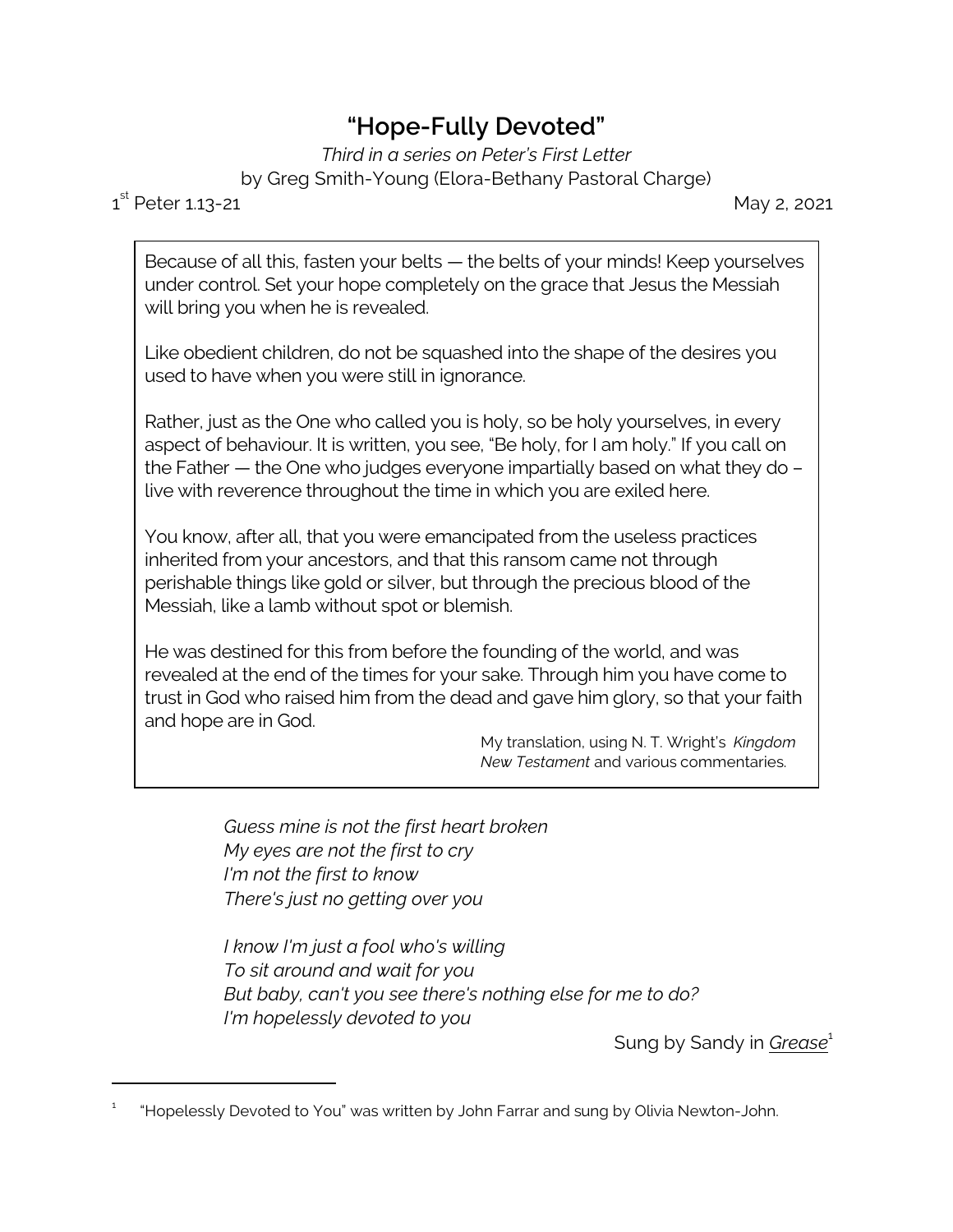## **"Hope-Fully Devoted"**

*Third in a series on Peter's First Letter* by Greg Smith-Young (Elora-Bethany Pastoral Charge)

 $1^{\text{st}}$ 

May 2, 2021

Because of all this, fasten your belts — the belts of your minds! Keep yourselves under control. Set your hope completely on the grace that Jesus the Messiah will bring you when he is revealed.

Like obedient children, do not be squashed into the shape of the desires you used to have when you were still in ignorance.

Rather, just as the One who called you is holy, so be holy yourselves, in every aspect of behaviour. It is written, you see, "Be holy, for I am holy." If you call on the Father — the One who judges everyone impartially based on what they do – live with reverence throughout the time in which you are exiled here.

You know, after all, that you were emancipated from the useless practices inherited from your ancestors, and that this ransom came not through perishable things like gold or silver, but through the precious blood of the Messiah, like a lamb without spot or blemish.

He was destined for this from before the founding of the world, and was revealed at the end of the times for your sake. Through him you have come to trust in God who raised him from the dead and gave him glory, so that your faith and hope are in God.

My translation, using N. T. Wright's *Kingdom New Testament* and various commentaries.

*Guess mine is not the first heart broken My eyes are not the first to cry I'm not the first to know There's just no getting over you*

*I know I'm just a fool who's willing To sit around and wait for you But baby, can't you see there's nothing else for me to do? I'm hopelessly devoted to you*

Sung by Sandy in *Grease*<sup>1</sup>

<sup>1</sup> "Hopelessly Devoted to You" was written by John Farrar and sung by Olivia Newton-John.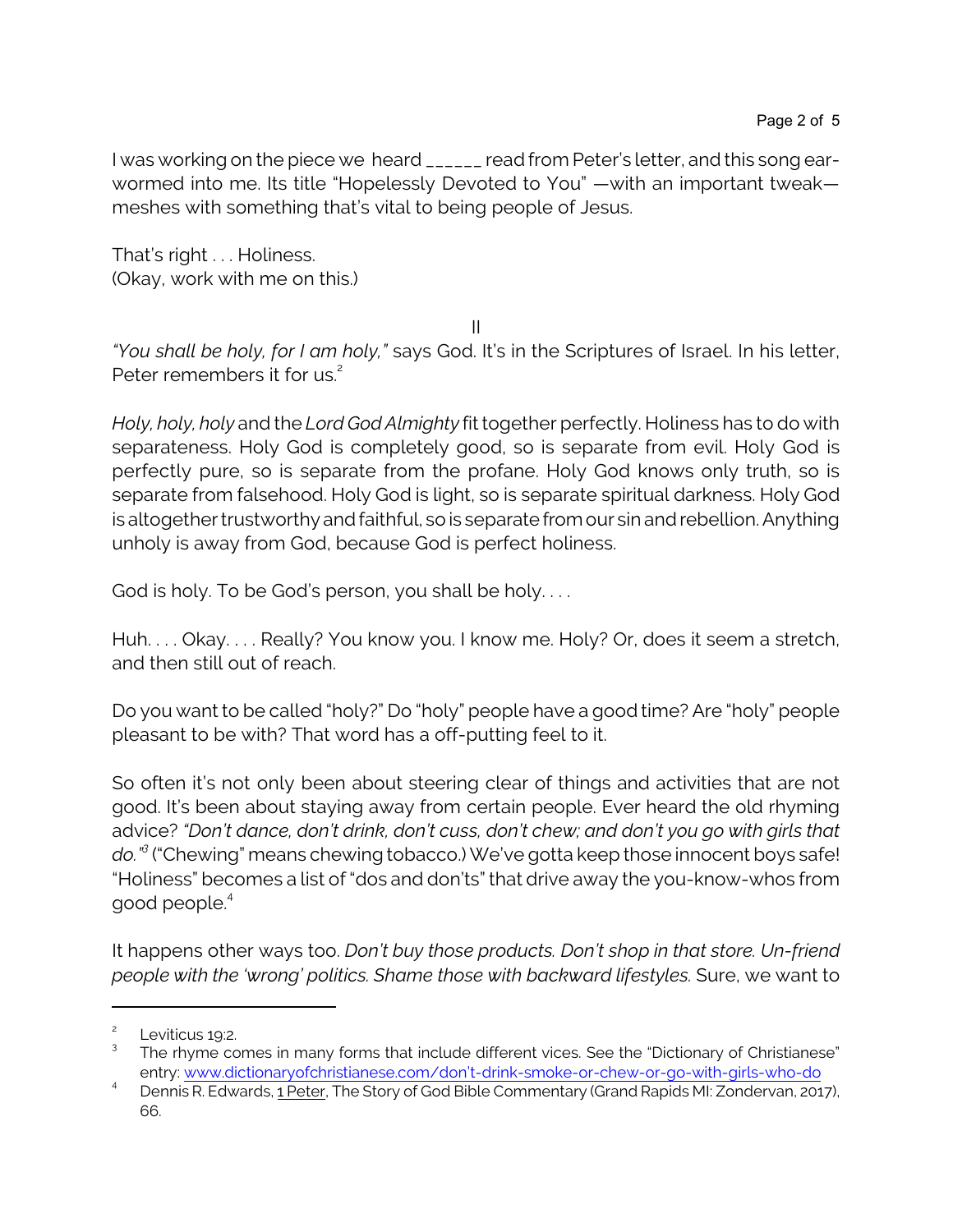I was working on the piece we heard \_\_\_\_\_\_ read from Peter's letter, and this song earwormed into me. Its title "Hopelessly Devoted to You" —with an important tweak meshes with something that's vital to being people of Jesus.

That's right . . . Holiness. (Okay, work with me on this.)

II

*"You shall be holy, for I am holy,"* says God. It's in the Scriptures of Israel. In his letter, Peter remembers it for us.<sup>2</sup>

*Holy, holy, holy* and the *Lord God Almighty* fit together perfectly. Holiness has to do with separateness. Holy God is completely good, so is separate from evil. Holy God is perfectly pure, so is separate from the profane. Holy God knows only truth, so is separate from falsehood. Holy God is light, so is separate spiritual darkness. Holy God is altogether trustworthy and faithful, so is separate from our sin and rebellion. Anything unholy is away from God, because God is perfect holiness.

God is holy. To be God's person, you shall be holy....

Huh. . . . Okay. . . . Really? You know you. I know me. Holy? Or, does it seem a stretch, and then still out of reach.

Do you want to be called "holy?" Do "holy" people have a good time? Are "holy" people pleasant to be with? That word has a off-putting feel to it.

So often it's not only been about steering clear of things and activities that are not good. It's been about staying away from certain people. Ever heard the old rhyming advice? *"Don't dance, don't drink, don't cuss, don't chew; and don't you go with girls that do."<sup>3</sup>* ("Chewing" means chewing tobacco.) We've gotta keep those innocent boys safe! "Holiness" becomes a list of "dos and don'ts" that drive away the you-know-whos from good people.<sup>4</sup>

It happens other ways too. *Don't buy those products. Don't shop in that store. Un-friend people with the 'wrong' politics. Shame those with backward lifestyles.* Sure, we want to

<sup>2</sup> Leviticus 19:2.

<sup>3</sup> The rhyme comes in many forms that include different vices. See the "Dictionary of Christianese" entry: [www.dictionaryofchristianese.com/don't-drink-smoke-or-chew-or-go-with-girls-who-do](https://www.dictionaryofchristianese.com/dont-drink-smoke-or-chew-or-go-with-girls-who-do/)

<sup>4</sup> Dennis R. Edwards, 1 Peter, The Story of God Bible Commentary (Grand Rapids MI: Zondervan, 2017), 66.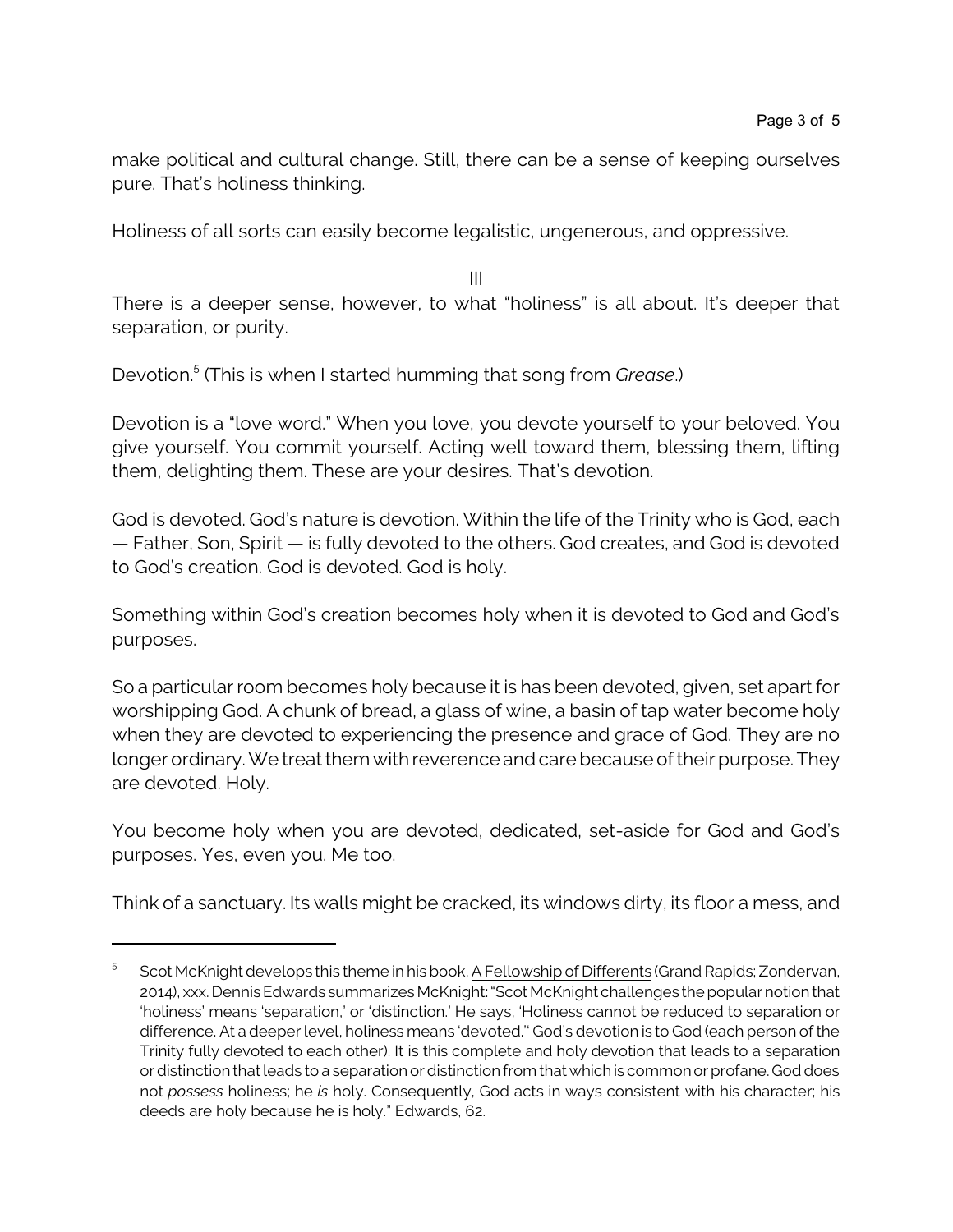make political and cultural change. Still, there can be a sense of keeping ourselves pure. That's holiness thinking.

Holiness of all sorts can easily become legalistic, ungenerous, and oppressive.

III

There is a deeper sense, however, to what "holiness" is all about. It's deeper that separation, or purity.

Devotion. 5 (This is when I started humming that song from *Grease*.)

Devotion is a "love word." When you love, you devote yourself to your beloved. You give yourself. You commit yourself. Acting well toward them, blessing them, lifting them, delighting them. These are your desires. That's devotion.

God is devoted. God's nature is devotion. Within the life of the Trinity who is God, each — Father, Son, Spirit — is fully devoted to the others. God creates, and God is devoted to God's creation. God is devoted. God is holy.

Something within God's creation becomes holy when it is devoted to God and God's purposes.

So a particular room becomes holy because it is has been devoted, given, set apart for worshipping God. A chunk of bread, a glass of wine, a basin of tap water become holy when they are devoted to experiencing the presence and grace of God. They are no longer ordinary. We treat them with reverence and care because of their purpose. They are devoted. Holy.

You become holy when you are devoted, dedicated, set-aside for God and God's purposes. Yes, even you. Me too.

Think of a sanctuary. Its walls might be cracked, its windows dirty, its floor a mess, and

<sup>5</sup> Scot McKnight develops this theme in his book, A Fellowship of Differents (Grand Rapids; Zondervan, 2014), xxx. Dennis Edwards summarizes McKnight: "Scot McKnight challenges the popular notion that 'holiness' means 'separation,' or 'distinction.' He says, 'Holiness cannot be reduced to separation or difference. At a deeper level, holiness means 'devoted.'' God's devotion is to God (each person of the Trinity fully devoted to each other). It is this complete and holy devotion that leads to a separation or distinction that leads to a separation or distinction from that whichis common or profane. God does not *possess* holiness; he *is* holy. Consequently, God acts in ways consistent with his character; his deeds are holy because he is holy." Edwards, 62.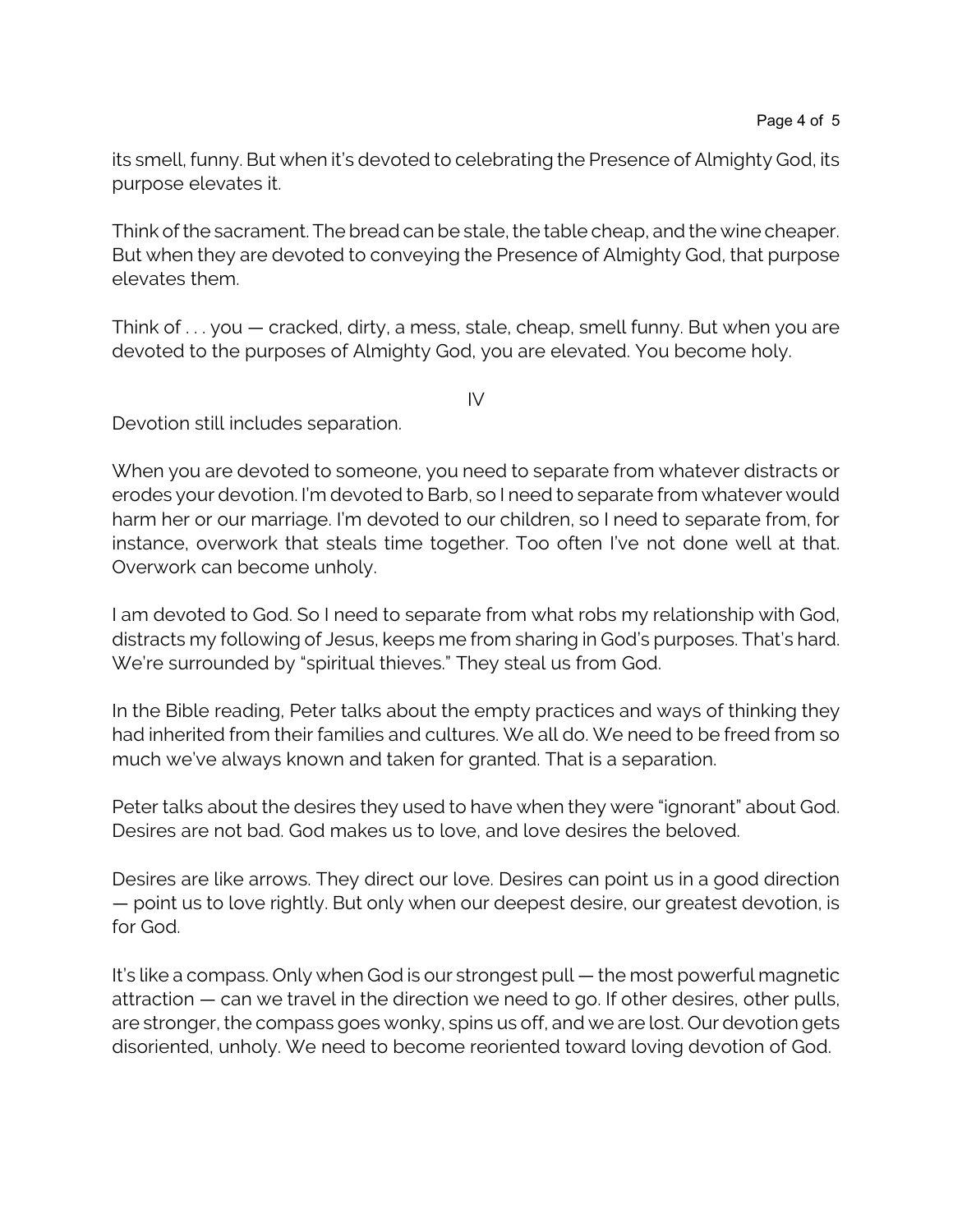its smell, funny. But when it's devoted to celebrating the Presence of Almighty God, its purpose elevates it.

Think of the sacrament. The bread can be stale, the table cheap, and the wine cheaper. But when they are devoted to conveying the Presence of Almighty God, that purpose elevates them.

Think of . . . you — cracked, dirty, a mess, stale, cheap, smell funny. But when you are devoted to the purposes of Almighty God, you are elevated. You become holy.

IV

Devotion still includes separation.

When you are devoted to someone, you need to separate from whatever distracts or erodes your devotion. I'm devoted to Barb, so I need to separate from whatever would harm her or our marriage. I'm devoted to our children, so I need to separate from, for instance, overwork that steals time together. Too often I've not done well at that. Overwork can become unholy.

I am devoted to God. So I need to separate from what robs my relationship with God, distracts my following of Jesus, keeps me from sharing in God's purposes. That's hard. We're surrounded by "spiritual thieves." They steal us from God.

In the Bible reading, Peter talks about the empty practices and ways of thinking they had inherited from their families and cultures. We all do. We need to be freed from so much we've always known and taken for granted. That is a separation.

Peter talks about the desires they used to have when they were "ignorant" about God. Desires are not bad. God makes us to love, and love desires the beloved.

Desires are like arrows. They direct our love. Desires can point us in a good direction — point us to love rightly. But only when our deepest desire, our greatest devotion, is for God.

It's like a compass. Only when God is our strongest pull — the most powerful magnetic attraction — can we travel in the direction we need to go. If other desires, other pulls, are stronger, the compass goes wonky, spins us off, and we are lost. Our devotion gets disoriented, unholy. We need to become reoriented toward loving devotion of God.